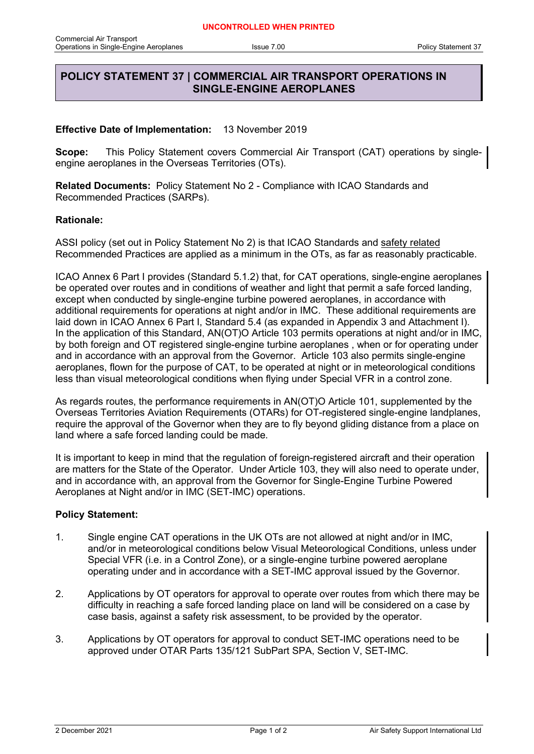## **POLICY STATEMENT 37 | COMMERCIAL AIR TRANSPORT OPERATIONS IN SINGLE-ENGINE AEROPLANES**

## **Effective Date of Implementation:** 13 November 2019

**Scope:** This Policy Statement covers Commercial Air Transport (CAT) operations by singleengine aeroplanes in the Overseas Territories (OTs).

**Related Documents:** Policy Statement No 2 - Compliance with ICAO Standards and Recommended Practices (SARPs).

## **Rationale:**

ASSI policy (set out in Policy Statement No 2) is that ICAO Standards and safety related Recommended Practices are applied as a minimum in the OTs, as far as reasonably practicable.

ICAO Annex 6 Part I provides (Standard 5.1.2) that, for CAT operations, single-engine aeroplanes be operated over routes and in conditions of weather and light that permit a safe forced landing, except when conducted by single-engine turbine powered aeroplanes, in accordance with additional requirements for operations at night and/or in IMC. These additional requirements are laid down in ICAO Annex 6 Part I, Standard 5.4 (as expanded in Appendix 3 and Attachment I). In the application of this Standard, AN(OT)O Article 103 permits operations at night and/or in IMC, by both foreign and OT registered single-engine turbine aeroplanes , when or for operating under and in accordance with an approval from the Governor. Article 103 also permits single-engine aeroplanes, flown for the purpose of CAT, to be operated at night or in meteorological conditions less than visual meteorological conditions when flying under Special VFR in a control zone.

As regards routes, the performance requirements in AN(OT)O Article 101, supplemented by the Overseas Territories Aviation Requirements (OTARs) for OT-registered single-engine landplanes, require the approval of the Governor when they are to fly beyond gliding distance from a place on land where a safe forced landing could be made.

It is important to keep in mind that the regulation of foreign-registered aircraft and their operation are matters for the State of the Operator. Under Article 103, they will also need to operate under, and in accordance with, an approval from the Governor for Single-Engine Turbine Powered Aeroplanes at Night and/or in IMC (SET-IMC) operations.

## **Policy Statement:**

- 1. Single engine CAT operations in the UK OTs are not allowed at night and/or in IMC, and/or in meteorological conditions below Visual Meteorological Conditions, unless under Special VFR (i.e. in a Control Zone), or a single-engine turbine powered aeroplane operating under and in accordance with a SET-IMC approval issued by the Governor.
- 2. Applications by OT operators for approval to operate over routes from which there may be difficulty in reaching a safe forced landing place on land will be considered on a case by case basis, against a safety risk assessment, to be provided by the operator.
- 3. Applications by OT operators for approval to conduct SET-IMC operations need to be approved under OTAR Parts 135/121 SubPart SPA, Section V, SET-IMC.